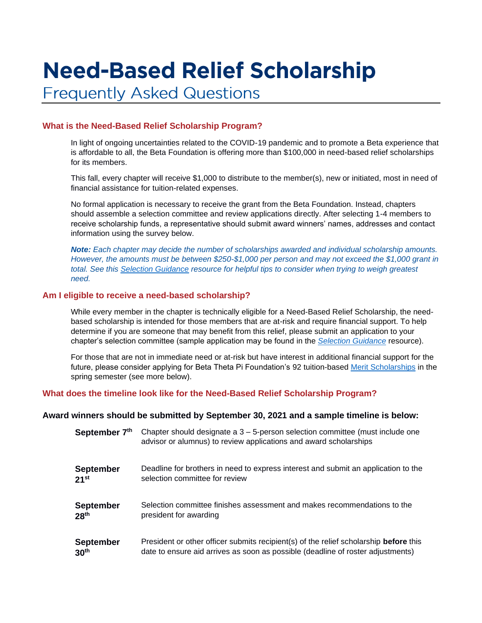# **Need-Based Relief Scholarship**

**Frequently Asked Questions** 

# **What is the Need-Based Relief Scholarship Program?**

In light of ongoing uncertainties related to the COVID-19 pandemic and to promote a Beta experience that is affordable to all, the Beta Foundation is offering more than \$100,000 in need-based relief scholarships for its members.

This fall, every chapter will receive \$1,000 to distribute to the member(s), new or initiated, most in need of financial assistance for tuition-related expenses.

No formal application is necessary to receive the grant from the Beta Foundation. Instead, chapters should assemble a selection committee and review applications directly. After selecting 1-4 members to receive scholarship funds, a representative should submit award winners' names, addresses and contact information using the survey below.

*Note: Each chapter may decide the number of scholarships awarded and individual scholarship amounts. However, the amounts must be between \$250-\$1,000 per person and may not exceed the \$1,000 grant in total. See this [Selection Guidance](https://beta.org/wp-content/uploads/2021/08/Selection-Guidance-for-Need-Based-Relief-Scholarships.pdf) resource for helpful tips to consider when trying to weigh greatest need.*

# **Am I eligible to receive a need-based scholarship?**

While every member in the chapter is technically eligible for a Need-Based Relief Scholarship, the needbased scholarship is intended for those members that are at-risk and require financial support. To help determine if you are someone that may benefit from this relief, please submit an application to your chapter's selection committee (sample application may be found in the *[Selection Guidance](https://beta.org/wp-content/uploads/2021/08/Selection-Guidance-for-Need-Based-Relief-Scholarships.pdf)* resource).

For those that are not in immediate need or at-risk but have interest in additional financial support for the future, please consider applying for Beta Theta Pi Foundation's 92 tuition-based [Merit Scholarships](https://beta.org/foundation/merit-scholarships/) in the spring semester (see more below).

# **What does the timeline look like for the Need-Based Relief Scholarship Program?**

# **Award winners should be submitted by September 30, 2021 and a sample timeline is below:**

| September 7th    | Chapter should designate a $3 - 5$ -person selection committee (must include one<br>advisor or alumnus) to review applications and award scholarships |
|------------------|-------------------------------------------------------------------------------------------------------------------------------------------------------|
| <b>September</b> | Deadline for brothers in need to express interest and submit an application to the                                                                    |
| 21 <sup>st</sup> | selection committee for review                                                                                                                        |
| <b>September</b> | Selection committee finishes assessment and makes recommendations to the                                                                              |
| 28 <sup>th</sup> | president for awarding                                                                                                                                |
| <b>September</b> | President or other officer submits recipient(s) of the relief scholarship before this                                                                 |
| 30 <sup>th</sup> | date to ensure aid arrives as soon as possible (deadline of roster adjustments)                                                                       |